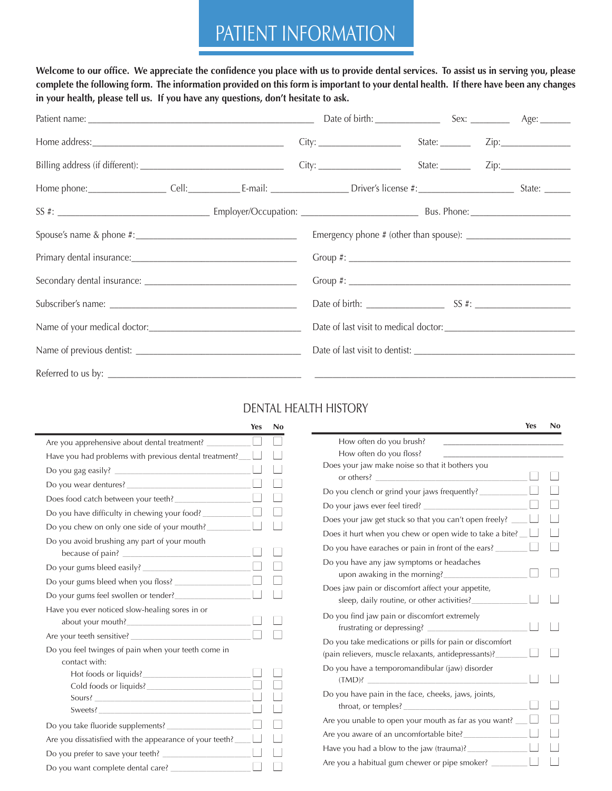# PATIENT INFORMATION

Welcome to our office. We appreciate the confidence you place with us to provide dental services. To assist us in serving you, please Complete the following form. The information provided on this form is important to your dental health. If there have been any changes in your health, please tell us. If you have any questions, don't hesitate to ask.

## DENTAL HEALTH HISTORY

|                                                                      | Yes    | No |
|----------------------------------------------------------------------|--------|----|
| Are you apprehensive about dental treatment?                         |        |    |
| Have you had problems with previous dental treatment?___             |        |    |
| Do you gag easily?                                                   |        |    |
| Do you wear dentures?                                                |        |    |
| Does food catch between your teeth?                                  |        |    |
| Do you have difficulty in chewing your food?                         |        |    |
| Do you chew on only one side of your mouth?                          |        |    |
| Do you avoid brushing any part of your mouth                         |        |    |
|                                                                      |        |    |
|                                                                      | $\Box$ |    |
|                                                                      |        |    |
| Have you ever noticed slow-healing sores in or<br>about your mouth?  |        |    |
| Are your teeth sensitive?                                            |        |    |
| Do you feel twinges of pain when your teeth come in<br>contact with: |        |    |
|                                                                      |        |    |
| Cold foods or liquids?                                               |        |    |
|                                                                      |        |    |
|                                                                      |        |    |
| Do you take fluoride supplements?______________                      |        |    |
| Are you dissatisfied with the appearance of your teeth?              |        |    |
| Do you prefer to save your teeth?                                    |        |    |
| Do you want complete dental care?                                    |        |    |

|                                                                | Yes | No |
|----------------------------------------------------------------|-----|----|
| How often do you brush?                                        |     |    |
| How often do you floss?                                        |     |    |
| Does your jaw make noise so that it bothers you                |     |    |
| or others?                                                     |     |    |
| Do you clench or grind your jaws frequently?                   |     |    |
|                                                                |     |    |
| Does your jaw get stuck so that you can't open freely? $\Box$  |     |    |
| Does it hurt when you chew or open wide to take a bite? $\Box$ |     |    |
| Do you have earaches or pain in front of the ears?             |     |    |
| Do you have any jaw symptoms or headaches                      |     |    |
| upon awaking in the morning?                                   |     |    |
| Does jaw pain or discomfort affect your appetite,              |     |    |
| sleep, daily routine, or other activities?______               |     |    |
| Do you find jaw pain or discomfort extremely                   |     |    |
|                                                                |     |    |
| Do you take medications or pills for pain or discomfort        |     |    |
| (pain relievers, muscle relaxants, antidepressants)?           |     |    |
| Do you have a temporomandibular (jaw) disorder                 |     |    |
| $(TMD)$ ?                                                      |     |    |
| Do you have pain in the face, cheeks, jaws, joints,            |     |    |
| throat, or temples?                                            |     |    |
| Are you unable to open your mouth as far as you want? __       |     |    |
| Are you aware of an uncomfortable bite?                        |     |    |
| Have you had a blow to the jaw (trauma)?                       |     |    |
| Are you a habitual gum chewer or pipe smoker?                  |     |    |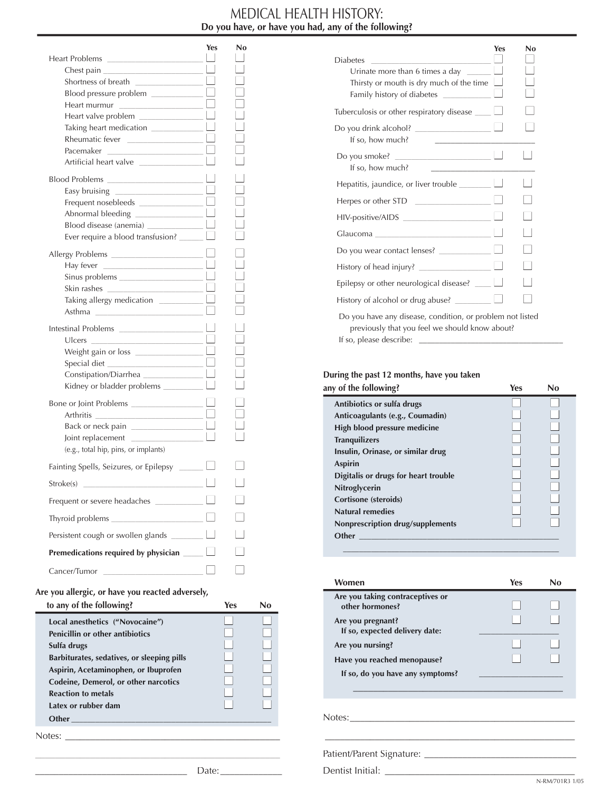### - MEDICAL HEALIH HISTORY: Do you have, or have you had, any of the following?

|                                                                                                                                                                                                                                                               | Yes |
|---------------------------------------------------------------------------------------------------------------------------------------------------------------------------------------------------------------------------------------------------------------|-----|
| Heart Problems                                                                                                                                                                                                                                                |     |
| Chest pain $\equiv$                                                                                                                                                                                                                                           |     |
| Shortness of breath <b>contains the set of the set of the set of the set of the set of the set of the set of the s</b>                                                                                                                                        |     |
| Blood pressure problem                                                                                                                                                                                                                                        |     |
|                                                                                                                                                                                                                                                               |     |
| Heart valve problem _______________                                                                                                                                                                                                                           |     |
|                                                                                                                                                                                                                                                               |     |
| Rheumatic fever                                                                                                                                                                                                                                               |     |
| Pacemaker                                                                                                                                                                                                                                                     |     |
| Artificial heart valve                                                                                                                                                                                                                                        |     |
| <b>Blood Problems</b><br><u> 1999 - John Harry Harry Harry Harry Harry Harry Harry Harry Harry Harry Harry Harry Harry Harry Harry Harry Harry Harry Harry Harry Harry Harry Harry Harry Harry Harry Harry Harry Harry Harry Harry Harry Harry Harry Harr</u> |     |
| Easy bruising<br>the control of the control of the                                                                                                                                                                                                            |     |
| Frequent nosebleeds _________________                                                                                                                                                                                                                         |     |
| Abnormal bleeding __________________                                                                                                                                                                                                                          |     |
| Blood disease (anemia)                                                                                                                                                                                                                                        |     |
| Ever require a blood transfusion?                                                                                                                                                                                                                             |     |
|                                                                                                                                                                                                                                                               |     |
|                                                                                                                                                                                                                                                               |     |
|                                                                                                                                                                                                                                                               |     |
| Skin rashes                                                                                                                                                                                                                                                   |     |
| Taking allergy medication __________                                                                                                                                                                                                                          |     |
| Asthma                                                                                                                                                                                                                                                        |     |
| Intestinal Problems <b>Fig. 1.1 Problems</b>                                                                                                                                                                                                                  |     |
| Ulcers                                                                                                                                                                                                                                                        |     |
|                                                                                                                                                                                                                                                               |     |
|                                                                                                                                                                                                                                                               |     |
| Constipation/Diarrhea                                                                                                                                                                                                                                         |     |
| Kidney or bladder problems _________                                                                                                                                                                                                                          |     |
|                                                                                                                                                                                                                                                               |     |
| Arthritis                                                                                                                                                                                                                                                     |     |
| Back or neck pain                                                                                                                                                                                                                                             |     |
| Joint replacement                                                                                                                                                                                                                                             |     |
| (e.g., total hip, pins, or implants)                                                                                                                                                                                                                          |     |
| Fainting Spells, Seizures, or Epilepsy                                                                                                                                                                                                                        |     |
| Stroke(s)                                                                                                                                                                                                                                                     |     |
| Frequent or severe headaches                                                                                                                                                                                                                                  |     |
|                                                                                                                                                                                                                                                               |     |
| Persistent cough or swollen glands ________                                                                                                                                                                                                                   |     |
| Premedications required by physician ____                                                                                                                                                                                                                     |     |
| Cancer/Tumor                                                                                                                                                                                                                                                  |     |
|                                                                                                                                                                                                                                                               |     |

#### Are you allergic, or have you reacted adversely,

| to any of the following?                                                                                                                                | Yes | No | other hormones?                                                         |  |
|---------------------------------------------------------------------------------------------------------------------------------------------------------|-----|----|-------------------------------------------------------------------------|--|
| Local anesthetics ("Novocaine")<br><b>Penicillin or other antibiotics</b><br>Sulfa drugs                                                                |     |    | Are you pregnant?<br>If so, expected delivery date:<br>Are you nursing? |  |
| Barbiturates, sedatives, or sleeping pills<br>Aspirin, Acetaminophen, or Ibuprofen<br>Codeine, Demerol, or other narcotics<br><b>Reaction to metals</b> |     |    | Have you reached menopause?<br>If so, do you have any symptoms?         |  |
| Latex or rubber dam<br>Notes:                                                                                                                           |     |    | Notes:                                                                  |  |
|                                                                                                                                                         |     |    |                                                                         |  |

|                                                                                                                                        | Yes | No |
|----------------------------------------------------------------------------------------------------------------------------------------|-----|----|
| Diabetes<br>Urinate more than 6 times a day $\Box$<br>Thirsty or mouth is dry much of the time $\Box$<br>Family history of diabetes    |     |    |
| Tuberculosis or other respiratory disease $\rule{1em}{0.15mm}$ $\Box$                                                                  |     |    |
| Do you drink alcohol? $\Box$<br>If so, how much?                                                                                       |     |    |
| Do you smoke? $\qquad \qquad \qquad$<br>If so, how much?<br>the control of the control of the control of the                           |     |    |
| Hepatitis, jaundice, or liver trouble $\_\_$                                                                                           |     |    |
| Herpes or other STD $\qquad \qquad \Box$                                                                                               |     |    |
|                                                                                                                                        |     |    |
| Glaucoma <u>entrante de la contrada de la contrada de la c</u>                                                                         |     |    |
| Do you wear contact lenses? $\Box$                                                                                                     |     |    |
| History of head injury? $\qquad \qquad \qquad \Box$                                                                                    |     |    |
| Epilepsy or other neurological disease? $\Box$                                                                                         |     |    |
| History of alcohol or drug abuse? $\Box$                                                                                               |     |    |
| Do you have any disease, condition, or problem not listed<br>previously that you feel we should know about?<br>If so, please describe: |     |    |

### During the past 12 months, have you taken

| any of the following?                | Yes | N٥ |
|--------------------------------------|-----|----|
| Antibiotics or sulfa drugs           |     |    |
| Anticoagulants (e.g., Coumadin)      |     |    |
| High blood pressure medicine         |     |    |
| <b>Tranquilizers</b>                 |     |    |
| Insulin, Orinase, or similar drug    |     |    |
| Aspirin                              |     |    |
| Digitalis or drugs for heart trouble |     |    |
| Nitroglycerin                        |     |    |
| Cortisone (steroids)                 |     |    |
| <b>Natural remedies</b>              |     |    |
| Nonprescription drug/supplements     |     |    |
| Other                                |     |    |

| Women                                               | Yes | N۵ |
|-----------------------------------------------------|-----|----|
| Are you taking contraceptives or<br>other hormones? |     |    |
| Are you pregnant?<br>If so, expected delivery date: |     |    |
| Are you nursing?                                    |     |    |
| Have you reached menopause?                         |     |    |
| If so, do you have any symptoms?                    |     |    |
|                                                     |     |    |

????????????????????????????????????????????????? 0ATIENT0ARENT3IGNATURE????????????????????????????????

???????????????????????????????? \$ATE????????????? \$ENTIST)NITIAL ??????????????????????????????????????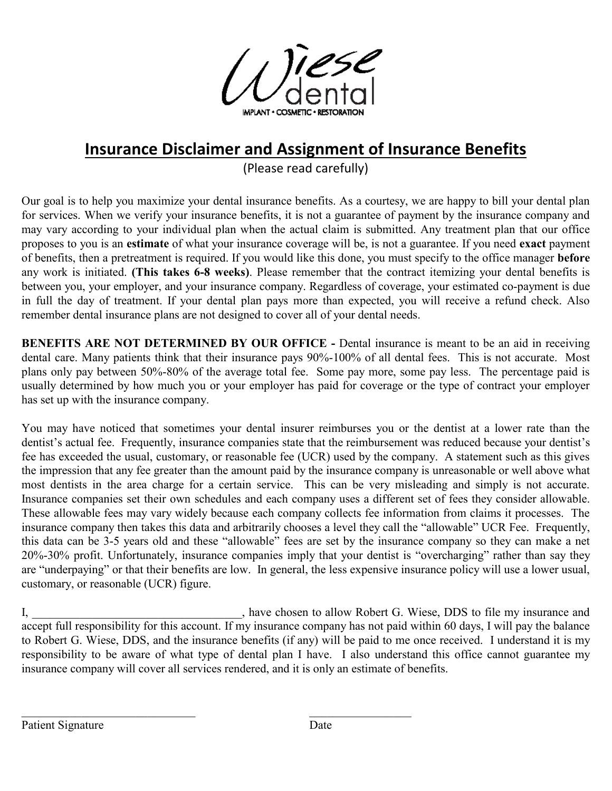

## **Insurance Disclaimer and Assignment of Insurance Benefits**

(Please read carefully)

Our goal is to help you maximize your dental insurance benefits. As a courtesy, we are happy to bill your dental plan for services. When we verify your insurance benefits, it is not a guarantee of payment by the insurance company and may vary according to your individual plan when the actual claim is submitted. Any treatment plan that our office proposes to you is an **estimate** of what your insurance coverage will be, is not a guarantee. If you need **exact** payment of benefits, then a pretreatment is required. If you would like this done, you must specify to the office manager **before**  any work is initiated. **(This takes 6-8 weeks)**. Please remember that the contract itemizing your dental benefits is between you, your employer, and your insurance company. Regardless of coverage, your estimated co-payment is due in full the day of treatment. If your dental plan pays more than expected, you will receive a refund check. Also remember dental insurance plans are not designed to cover all of your dental needs.

**BENEFITS ARE NOT DETERMINED BY OUR OFFICE -** Dental insurance is meant to be an aid in receiving dental care. Many patients think that their insurance pays 90%-100% of all dental fees. This is not accurate. Most plans only pay between 50%-80% of the average total fee. Some pay more, some pay less. The percentage paid is usually determined by how much you or your employer has paid for coverage or the type of contract your employer has set up with the insurance company.

You may have noticed that sometimes your dental insurer reimburses you or the dentist at a lower rate than the dentist's actual fee. Frequently, insurance companies state that the reimbursement was reduced because your dentist's fee has exceeded the usual, customary, or reasonable fee (UCR) used by the company. A statement such as this gives the impression that any fee greater than the amount paid by the insurance company is unreasonable or well above what most dentists in the area charge for a certain service. This can be very misleading and simply is not accurate. Insurance companies set their own schedules and each company uses a different set of fees they consider allowable. These allowable fees may vary widely because each company collects fee information from claims it processes. The insurance company then takes this data and arbitrarily chooses a level they call the "allowable" UCR Fee. Frequently, this data can be 3-5 years old and these "allowable" fees are set by the insurance company so they can make a net 20%-30% profit. Unfortunately, insurance companies imply that your dentist is "overcharging" rather than say they are "underpaying" or that their benefits are low. In general, the less expensive insurance policy will use a lower usual, customary, or reasonable (UCR) figure.

I, have chosen to allow Robert G. Wiese, DDS to file my insurance and accept full responsibility for this account. If my insurance company has not paid within 60 days, I will pay the balance to Robert G. Wiese, DDS, and the insurance benefits (if any) will be paid to me once received. I understand it is my responsibility to be aware of what type of dental plan I have. I also understand this office cannot guarantee my insurance company will cover all services rendered, and it is only an estimate of benefits.

 $\mathcal{L}_\text{max}$  , and the contract of the contract of the contract of the contract of the contract of the contract of the contract of the contract of the contract of the contract of the contract of the contract of the contr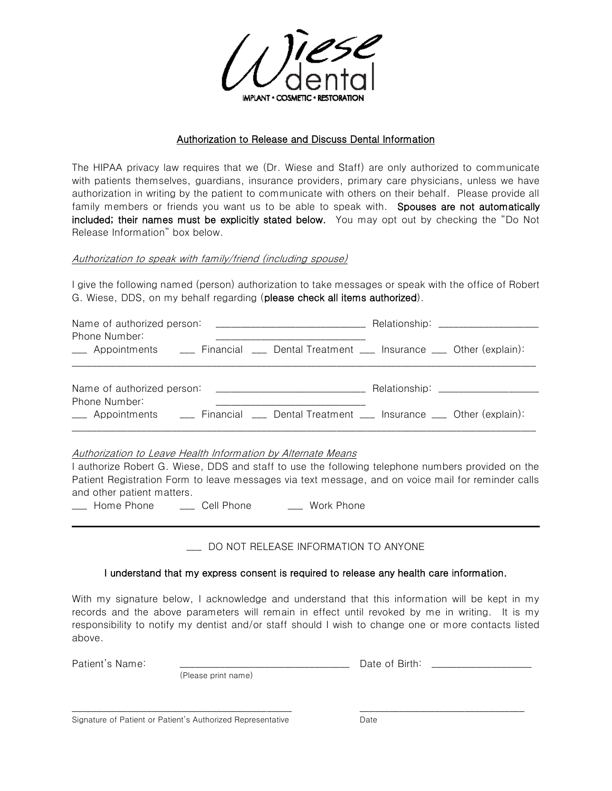

#### Authorization to Release and Discuss Dental Information

The HIPAA privacy law requires that we (Dr. Wiese and Staff) are only authorized to communicate with patients themselves, guardians, insurance providers, primary care physicians, unless we have authorization in writing by the patient to communicate with others on their behalf. Please provide all family members or friends you want us to be able to speak with. Spouses are not automatically included; their names must be explicitly stated below. You may opt out by checking the "Do Not Release Information" box below.

#### Authorization to speak with family/friend (including spouse)

I give the following named (person) authorization to take messages or speak with the office of Robert G. Wiese, DDS, on my behalf regarding (please check all items authorized).

| Phone Number: |                                                                                         |
|---------------|-----------------------------------------------------------------------------------------|
|               | ___ Appointments ____ Financial ___ Dental Treatment ___ Insurance ___ Other (explain): |
| Phone Number: |                                                                                         |
|               | ___ Appointments ____ Financial ___ Dental Treatment ___ Insurance ___ Other (explain): |

#### Authorization to Leave Health Information by Alternate Means

I authorize Robert G. Wiese, DDS and staff to use the following telephone numbers provided on the Patient Registration Form to leave messages via text message, and on voice mail for reminder calls and other patient matters.

\_\_\_ Home Phone \_\_\_ Cell Phone \_\_\_ Work Phone

#### \_\_\_ DO NOT RELEASE INFORMATION TO ANYONE

#### I understand that my express consent is required to release any health care information.

With my signature below, I acknowledge and understand that this information will be kept in my records and the above parameters will remain in effect until revoked by me in writing. It is my responsibility to notify my dentist and/or staff should I wish to change one or more contacts listed above.

\_\_\_\_\_\_\_\_\_\_\_\_\_\_\_\_\_\_\_\_\_\_\_\_\_\_\_\_\_\_\_\_\_\_\_\_\_\_\_\_\_\_\_\_ \_\_\_\_\_\_\_\_\_\_\_\_\_\_\_\_\_\_\_\_\_\_\_\_\_\_\_\_\_\_\_\_\_

Patient's Name: \_\_\_\_\_\_\_\_\_\_\_\_\_\_\_\_\_\_\_\_\_\_\_\_\_\_\_\_\_\_\_\_\_\_ Date of Birth: \_\_\_\_\_\_\_\_\_\_\_\_\_\_\_\_\_\_\_\_

(Please print name)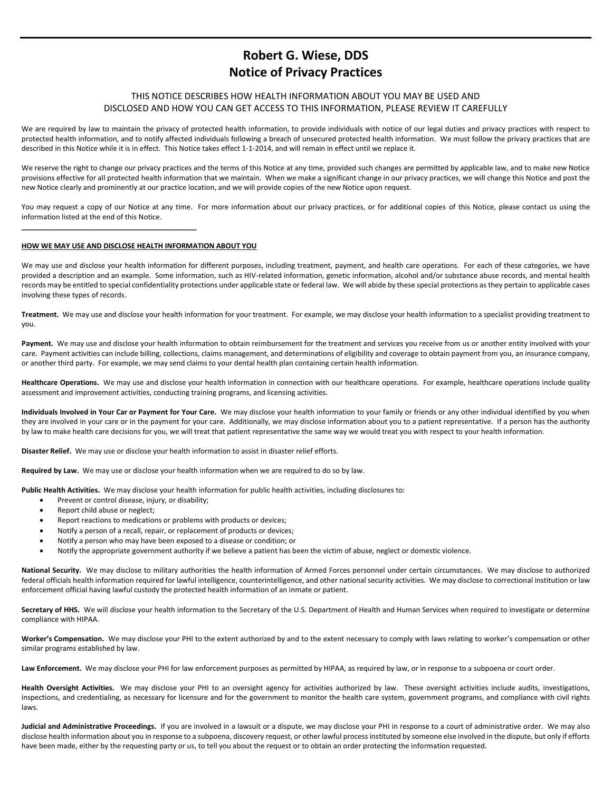## **Robert G. Wiese, DDS Notice of Privacy Practices**

#### THIS NOTICE DESCRIBES HOW HEALTH INFORMATION ABOUT YOU MAY BE USED AND DISCLOSED AND HOW YOU CAN GET ACCESS TO THIS INFORMATION, PLEASE REVIEW IT CAREFULLY

We are required by law to maintain the privacy of protected health information, to provide individuals with notice of our legal duties and privacy practices with respect to protected health information, and to notify affected individuals following a breach of unsecured protected health information. We must follow the privacy practices that are described in this Notice while it is in effect. This Notice takes effect 1-1-2014, and will remain in effect until we replace it.

We reserve the right to change our privacy practices and the terms of this Notice at any time, provided such changes are permitted by applicable law, and to make new Notice provisions effective for all protected health information that we maintain. When we make a significant change in our privacy practices, we will change this Notice and post the new Notice clearly and prominently at our practice location, and we will provide copies of the new Notice upon request.

You may request a copy of our Notice at any time. For more information about our privacy practices, or for additional copies of this Notice, please contact us using the information listed at the end of this Notice.

#### **HOW WE MAY USE AND DISCLOSE HEALTH INFORMATION ABOUT YOU**

**\_\_\_\_\_\_\_\_\_\_\_\_\_\_\_\_\_\_\_\_\_\_\_\_\_\_\_\_\_\_\_\_\_\_\_\_\_\_\_\_\_\_\_\_**

We may use and disclose your health information for different purposes, including treatment, payment, and health care operations. For each of these categories, we have provided a description and an example. Some information, such as HIV-related information, genetic information, alcohol and/or substance abuse records, and mental health records may be entitled to special confidentiality protections under applicable state or federal law. We will abide by these special protections as they pertain to applicable cases involving these types of records.

**Treatment.** We may use and disclose your health information for your treatment. For example, we may disclose your health information to a specialist providing treatment to you.

Payment. We may use and disclose your health information to obtain reimbursement for the treatment and services you receive from us or another entity involved with your care. Payment activities can include billing, collections, claims management, and determinations of eligibility and coverage to obtain payment from you, an insurance company, or another third party. For example, we may send claims to your dental health plan containing certain health information.

Healthcare Operations. We may use and disclose your health information in connection with our healthcare operations. For example, healthcare operations include quality assessment and improvement activities, conducting training programs, and licensing activities.

**Individuals Involved in Your Car or Payment for Your Care.** We may disclose your health information to your family or friends or any other individual identified by you when they are involved in your care or in the payment for your care. Additionally, we may disclose information about you to a patient representative. If a person has the authority by law to make health care decisions for you, we will treat that patient representative the same way we would treat you with respect to your health information.

**Disaster Relief.** We may use or disclose your health information to assist in disaster relief efforts.

**Required by Law.** We may use or disclose your health information when we are required to do so by law.

**Public Health Activities.** We may disclose your health information for public health activities, including disclosures to:

- Prevent or control disease, injury, or disability;
- Report child abuse or neglect;
- Report reactions to medications or problems with products or devices;
- Notify a person of a recall, repair, or replacement of products or devices;
- Notify a person who may have been exposed to a disease or condition; or
- Notify the appropriate government authority if we believe a patient has been the victim of abuse, neglect or domestic violence.

**National Security.** We may disclose to military authorities the health information of Armed Forces personnel under certain circumstances. We may disclose to authorized federal officials health information required for lawful intelligence, counterintelligence, and other national security activities. We may disclose to correctional institution or law enforcement official having lawful custody the protected health information of an inmate or patient.

Secretary of HHS. We will disclose your health information to the Secretary of the U.S. Department of Health and Human Services when required to investigate or determine compliance with HIPAA.

**Worker's Compensation.** We may disclose your PHI to the extent authorized by and to the extent necessary to comply with laws relating to worker's compensation or other similar programs established by law.

Law Enforcement. We may disclose your PHI for law enforcement purposes as permitted by HIPAA, as required by law, or in response to a subpoena or court order.

**Health Oversight Activities.** We may disclose your PHI to an oversight agency for activities authorized by law. These oversight activities include audits, investigations, inspections, and credentialing, as necessary for licensure and for the government to monitor the health care system, government programs, and compliance with civil rights laws.

**Judicial and Administrative Proceedings.** If you are involved in a lawsuit or a dispute, we may disclose your PHI in response to a court of administrative order. We may also disclose health information about you in response to a subpoena, discovery request, or other lawful process instituted by someone else involved in the dispute, but only if efforts have been made, either by the requesting party or us, to tell you about the request or to obtain an order protecting the information requested.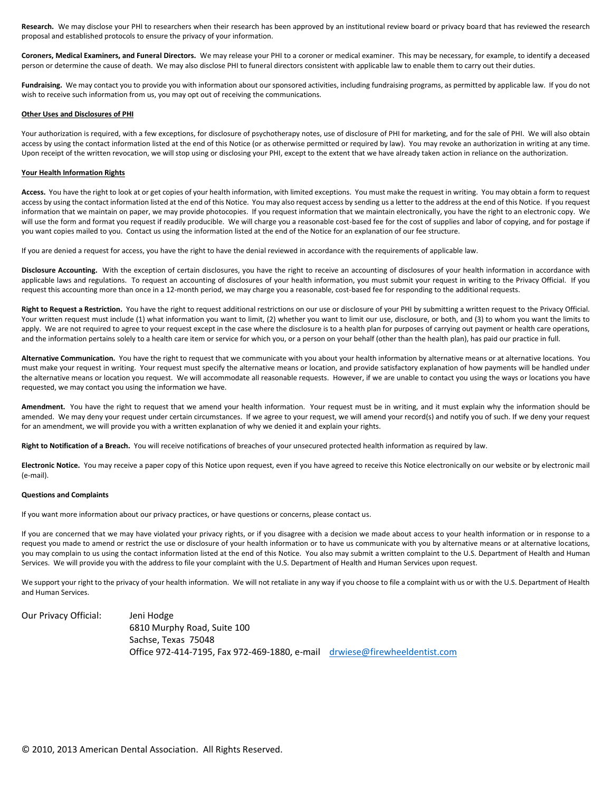Research. We may disclose your PHI to researchers when their research has been approved by an institutional review board or privacy board that has reviewed the research proposal and established protocols to ensure the privacy of your information.

**Coroners, Medical Examiners, and Funeral Directors.** We may release your PHI to a coroner or medical examiner. This may be necessary, for example, to identify a deceased person or determine the cause of death. We may also disclose PHI to funeral directors consistent with applicable law to enable them to carry out their duties.

Fundraising. We may contact you to provide you with information about our sponsored activities, including fundraising programs, as permitted by applicable law. If you do not wish to receive such information from us, you may opt out of receiving the communications.

#### **Other Uses and Disclosures of PHI**

Your authorization is required, with a few exceptions, for disclosure of psychotherapy notes, use of disclosure of PHI for marketing, and for the sale of PHI. We will also obtain access by using the contact information listed at the end of this Notice (or as otherwise permitted or required by law). You may revoke an authorization in writing at any time. Upon receipt of the written revocation, we will stop using or disclosing your PHI, except to the extent that we have already taken action in reliance on the authorization.

#### **Your Health Information Rights**

**Access.** You have the right to look at or get copies of your health information, with limited exceptions. You must make the request in writing. You may obtain a form to request access by using the contact information listed at the end of this Notice. You may also request access by sending us a letter to the address at the end of this Notice. If you request information that we maintain on paper, we may provide photocopies. If you request information that we maintain electronically, you have the right to an electronic copy. We will use the form and format you request if readily producible. We will charge you a reasonable cost-based fee for the cost of supplies and labor of copying, and for postage if you want copies mailed to you. Contact us using the information listed at the end of the Notice for an explanation of our fee structure.

If you are denied a request for access, you have the right to have the denial reviewed in accordance with the requirements of applicable law.

**Disclosure Accounting.** With the exception of certain disclosures, you have the right to receive an accounting of disclosures of your health information in accordance with applicable laws and regulations. To request an accounting of disclosures of your health information, you must submit your request in writing to the Privacy Official. If you request this accounting more than once in a 12-month period, we may charge you a reasonable, cost-based fee for responding to the additional requests.

**Right to Request a Restriction.** You have the right to request additional restrictions on our use or disclosure of your PHI by submitting a written request to the Privacy Official. Your written request must include (1) what information you want to limit, (2) whether you want to limit our use, disclosure, or both, and (3) to whom you want the limits to apply. We are not required to agree to your request except in the case where the disclosure is to a health plan for purposes of carrying out payment or health care operations, and the information pertains solely to a health care item or service for which you, or a person on your behalf (other than the health plan), has paid our practice in full.

**Alternative Communication.** You have the right to request that we communicate with you about your health information by alternative means or at alternative locations. You must make your request in writing. Your request must specify the alternative means or location, and provide satisfactory explanation of how payments will be handled under the alternative means or location you request. We will accommodate all reasonable requests. However, if we are unable to contact you using the ways or locations you have requested, we may contact you using the information we have.

**Amendment.** You have the right to request that we amend your health information. Your request must be in writing, and it must explain why the information should be amended. We may deny your request under certain circumstances. If we agree to your request, we will amend your record(s) and notify you of such. If we deny your request for an amendment, we will provide you with a written explanation of why we denied it and explain your rights.

**Right to Notification of a Breach.** You will receive notifications of breaches of your unsecured protected health information as required by law.

**Electronic Notice.** You may receive a paper copy of this Notice upon request, even if you have agreed to receive this Notice electronically on our website or by electronic mail (e-mail).

#### **Questions and Complaints**

If you want more information about our privacy practices, or have questions or concerns, please contact us.

If you are concerned that we may have violated your privacy rights, or if you disagree with a decision we made about access to your health information or in response to a request you made to amend or restrict the use or disclosure of your health information or to have us communicate with you by alternative means or at alternative locations, you may complain to us using the contact information listed at the end of this Notice. You also may submit a written complaint to the U.S. Department of Health and Human Services. We will provide you with the address to file your complaint with the U.S. Department of Health and Human Services upon request.

We support your right to the privacy of your health information. We will not retaliate in any way if you choose to file a complaint with us or with the U.S. Department of Health and Human Services.

Our Privacy Official: Jeni Hodge 6810 Murphy Road, Suite 100 Sachse, Texas 75048 Office 972-414-7195, Fax 972-469-1880, e-mail [drwiese@firewheeldentist.com](mailto:drwiese@firewheeldentist.com)